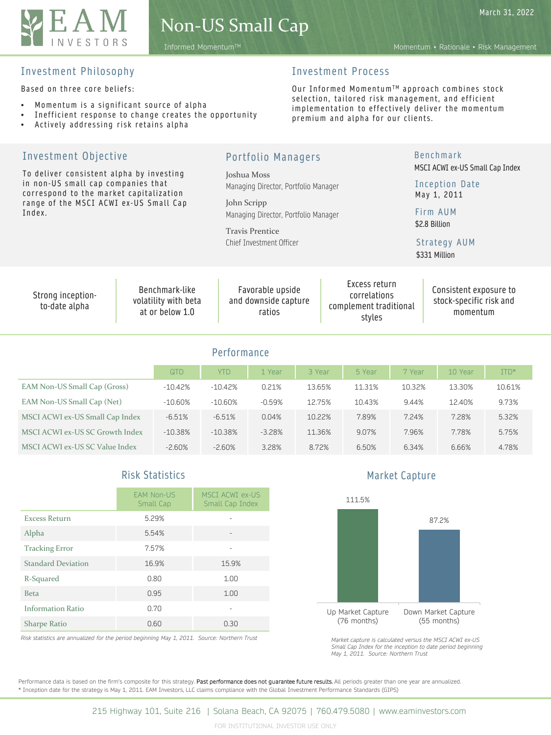

March 31, 2022

Informed MomentumTM Momentum • Rationale • Risk Management

### Investment Philosophy

Based on three core beliefs:

- Momentum is a significant source of alpha
- Inefficient response to change creates the opportunity
- Actively addressing risk retains alpha

# Investment Process

Our Informed Momentum™ approach combines stock selection, tailored risk management, and efficient implementation to effectively deliver the momentum premium and alpha for our clients.

| Investment Objective                                                                                                                                                          |                                                           |             | Portfolio Managers                                                                                                                                               |        |                                                                   |        | <b>Benchmark</b>                                                                                                               |        |  |
|-------------------------------------------------------------------------------------------------------------------------------------------------------------------------------|-----------------------------------------------------------|-------------|------------------------------------------------------------------------------------------------------------------------------------------------------------------|--------|-------------------------------------------------------------------|--------|--------------------------------------------------------------------------------------------------------------------------------|--------|--|
| To deliver consistent alpha by investing<br>in non-US small cap companies that<br>correspond to the market capitalization<br>range of the MSCI ACWI ex-US Small Cap<br>Index. |                                                           |             | Joshua Moss<br>Managing Director, Portfolio Manager<br>John Scripp<br>Managing Director, Portfolio Manager<br><b>Travis Prentice</b><br>Chief Investment Officer |        |                                                                   |        | MSCI ACWI ex-US Small Cap Index<br>Inception Date<br>May 1, 2011<br>Firm AUM<br>\$2.8 Billion<br>Strategy AUM<br>\$331 Million |        |  |
| Strong inception-<br>to-date alpha                                                                                                                                            | Benchmark-like<br>volatility with beta<br>at or below 1.0 |             | Favorable upside<br>and downside capture<br>ratios                                                                                                               |        | Excess return<br>correlations<br>complement traditional<br>styles |        | Consistent exposure to<br>stock-specific risk and<br>momentum                                                                  |        |  |
|                                                                                                                                                                               |                                                           | Performance |                                                                                                                                                                  |        |                                                                   |        |                                                                                                                                |        |  |
|                                                                                                                                                                               | QTD                                                       | <b>YTD</b>  | 1 Year                                                                                                                                                           | 3 Year | 5 Year                                                            | 7 Year | 10 Year                                                                                                                        | ITD*   |  |
| EAM Non-US Small Cap (Gross)                                                                                                                                                  | $-10.42%$                                                 | $-10.42%$   | 0.21%                                                                                                                                                            | 13.65% | 11.31%                                                            | 10.32% | 13.30%                                                                                                                         | 10.61% |  |
| EAM Non-US Small Cap (Net)                                                                                                                                                    | $-10.60%$                                                 | $-10.60%$   | $-0.59%$                                                                                                                                                         | 12.75% | 10.43%                                                            | 9.44%  | 12.40%                                                                                                                         | 9.73%  |  |
| MSCI ACWI ex-US Small Cap Index                                                                                                                                               | $-6.51%$                                                  | $-6.51%$    | 0.04%                                                                                                                                                            | 10.22% | 7.89%                                                             | 7.24%  | 7.28%                                                                                                                          | 5.32%  |  |

MSCI ACWI ex-US SC Growth Index -10.38% -10.38% -3.28% 11.36% 9.07% 7.96% 7.78% 5.75% MSCI ACWI ex-US SC Value Index -2.60% -2.60% 3.28% 8.72% 6.50% 6.34% 6.66% 4.78%

# Risk Statistics

|                           | <b>EAM Non-US</b><br>Small Cap | <b>MSCI ACWI ex-US</b><br>Small Cap Index |
|---------------------------|--------------------------------|-------------------------------------------|
| <b>Excess Return</b>      | 5.29%                          |                                           |
| Alpha                     | 5.54%                          |                                           |
| <b>Tracking Error</b>     | 7.57%                          |                                           |
| <b>Standard Deviation</b> | 16.9%                          | 15.9%                                     |
| R-Squared                 | 0.80                           | 1.00                                      |
| <b>Beta</b>               | 0.95                           | 1.00                                      |
| <b>Information Ratio</b>  | 0.70                           |                                           |
| <b>Sharpe Ratio</b>       | 0.60                           | 0.30                                      |

*Risk statistics are annualized for the period beginning May 1, 2011. Source: Northern Trust*

Market Capture



*Market capture is calculated versus the MSCI ACWI ex-US Small Cap Index for the inception to date period beginning May 1, 2011. Source: Northern Trust*

Performance data is based on the firm's composite for this strategy. Past performance does not guarantee future results. All periods greater than one year are annualized. \* Inception date for the strategy is May 1, 2011. EAM Investors, LLC claims compliance with the Global Investment Performance Standards (GIPS)